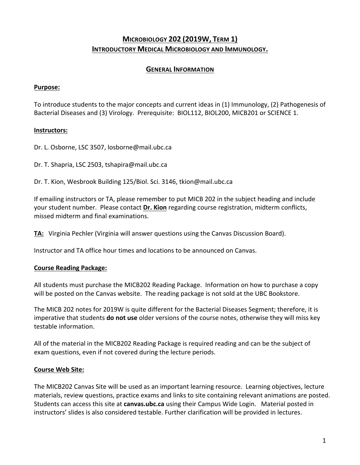# **MICROBIOLOGY 202 (2019W, TERM 1) INTRODUCTORY MEDICAL MICROBIOLOGY AND IMMUNOLOGY.**

### **GENERAL INFORMATION**

### **Purpose:**

To introduce students to the major concepts and current ideas in (1) Immunology, (2) Pathogenesis of Bacterial Diseases and (3) Virology. Prerequisite: BIOL112, BIOL200, MICB201 or SCIENCE 1.

### **Instructors:**

Dr. L. Osborne, LSC 3507, losborne@mail.ubc.ca

Dr. T. Shapria, LSC 2503, tshapira@mail.ubc.ca

Dr. T. Kion, Wesbrook Building 125/Biol. Sci. 3146, tkion@mail.ubc.ca

If emailing instructors or TA, please remember to put MICB 202 in the subject heading and include your student number. Please contact Dr. Kion regarding course registration, midterm conflicts, missed midterm and final examinations.

**TA:** Virginia Pechler (Virginia will answer questions using the Canvas Discussion Board).

Instructor and TA office hour times and locations to be announced on Canvas.

### **Course Reading Package:**

All students must purchase the MICB202 Reading Package. Information on how to purchase a copy will be posted on the Canvas website. The reading package is not sold at the UBC Bookstore.

The MICB 202 notes for 2019W is quite different for the Bacterial Diseases Segment; therefore, it is imperative that students **do not use** older versions of the course notes, otherwise they will miss key testable information.

All of the material in the MICB202 Reading Package is required reading and can be the subject of exam questions, even if not covered during the lecture periods.

#### **Course Web Site:**

The MICB202 Canvas Site will be used as an important learning resource. Learning objectives, lecture materials, review questions, practice exams and links to site containing relevant animations are posted. Students can access this site at **canvas.ubc.ca** using their Campus Wide Login. Material posted in instructors' slides is also considered testable. Further clarification will be provided in lectures.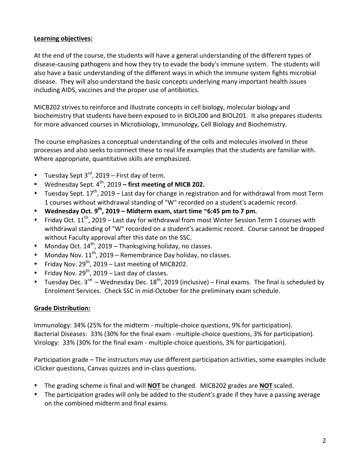### **Learning objectives:**

At the end of the course, the students will have a general understanding of the different types of disease-causing pathogens and how they try to evade the body's immune system. The students will also have a basic understanding of the different ways in which the immune system fights microbial disease. They will also understand the basic concepts underlying many important health issues including AIDS, vaccines and the proper use of antibiotics.

MICB202 strives to reinforce and illustrate concepts in cell biology, molecular biology and biochemistry that students have been exposed to in BIOL200 and BIOL201. It also prepares students for more advanced courses in Microbiology, Immunology, Cell Biology and Biochemistry.

The course emphasizes a conceptual understanding of the cells and molecules involved in these processes and also seeks to connect these to real life examples that the students are familiar with. Where appropriate, quantitative skills are emphasized.

- Tuesday Sept  $3^{\text{rd}}$ , 2019 First day of term.
- Wednesday Sept. 4<sup>th</sup>, 2019 first meeting of MICB 202.
- Tuesdav Sept.  $17^{th}$ , 2019 Last day for change in registration and for withdrawal from most Term 1 courses without withdrawal standing of "W" recorded on a student's academic record.
- Wednesday Oct.  $9^{th}$ , 2019 Midterm exam, start time  $\sim$  6:45 pm to 7 pm.
- Friday Oct.  $11^{th}$ , 2019 Last day for withdrawal from most Winter Session Term 1 courses with withdrawal standing of "W" recorded on a student's academic record. Course cannot be dropped without Faculty approval after this date on the SSC.
- Monday Oct.  $14^{th}$ , 2019 Thanksgiving holiday, no classes.
- Monday Nov.  $11^{th}$ , 2019 Remembrance Day holiday, no classes.
- Friday Nov.  $29^{th}$ , 2019 Last meeting of MICB202.
- Friday Nov.  $29^{th}$ , 2019 Last day of classes.
- Tuesday Dec.  $3^{rd}$  Wednesday Dec.  $18^{th}$ , 2019 (inclusive) Final exams. The final is scheduled by Enrolment Services. Check SSC in mid-October for the preliminary exam schedule.

### **Grade Distribution:**

Immunology: 34% (25% for the midterm - multiple-choice questions, 9% for participation). Bacterial Diseases: 33% (30% for the final exam - multiple-choice questions, 3% for participation). Virology: 33% (30% for the final exam - multiple-choice questions, 3% for participation).

Participation grade – The instructors may use different participation activities, some examples include iClicker questions, Canvas quizzes and in-class questions.

- The grading scheme is final and will **NOT** be changed. MICB202 grades are **NOT** scaled.
- The participation grades will only be added to the student's grade if they have a passing average on the combined midterm and final exams.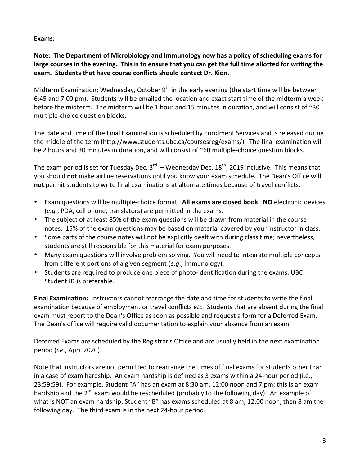### **Exams:**

Note: The Department of Microbiology and Immunology now has a policy of scheduling exams for large courses in the evening. This is to ensure that you can get the full time allotted for writing the exam. Students that have course conflicts should contact Dr. Kion.

Midterm Examination: Wednesday, October  $9<sup>th</sup>$  in the early evening (the start time will be between 6:45 and 7:00 pm). Students will be emailed the location and exact start time of the midterm a week before the midterm. The midterm will be 1 hour and 15 minutes in duration, and will consist of  $\sim$ 30 multiple-choice question blocks.

The date and time of the Final Examination is scheduled by Enrolment Services and is released during the middle of the term (http://www.students.ubc.ca/coursesreg/exams/). The final examination will be 2 hours and 30 minutes in duration, and will consist of  $\sim$ 60 multiple-choice question blocks.

The exam period is set for Tuesday Dec.  $3^{rd}$  – Wednesday Dec.  $18^{th}$ , 2019 inclusive. This means that you should not make airline reservations until you know your exam schedule. The Dean's Office will **not** permit students to write final examinations at alternate times because of travel conflicts.

- Exam questions will be multiple-choice format. All exams are closed book. NO electronic devices (e.g., PDA, cell phone, translators) are permitted in the exams.
- The subject of at least 85% of the exam questions will be drawn from material in the course notes. 15% of the exam questions may be based on material covered by your instructor in class.
- Some parts of the course notes will not be explicitly dealt with during class time; nevertheless, students are still responsible for this material for exam purposes.
- Many exam questions will involve problem solving. You will need to integrate multiple concepts from different portions of a given segment (*e.g.*, immunology).
- Students are required to produce one piece of photo-identification during the exams. UBC Student ID is preferable.

**Final Examination:** Instructors cannot rearrange the date and time for students to write the final examination because of employment or travel conflicts *etc*. Students that are absent during the final exam must report to the Dean's Office as soon as possible and request a form for a Deferred Exam. The Dean's office will require valid documentation to explain your absence from an exam.

Deferred Exams are scheduled by the Registrar's Office and are usually held in the next examination period (*i.e.*, April 2020).

Note that instructors are not permitted to rearrange the times of final exams for students other than in a case of exam hardship. An exam hardship is defined as 3 exams within a 24-hour period (i.e., 23:59:59). For example, Student "A" has an exam at 8:30 am, 12:00 noon and 7 pm; this is an exam hardship and the  $2^{nd}$  exam would be rescheduled (probably to the following day). An example of what is NOT an exam hardship: Student "B" has exams scheduled at 8 am, 12:00 noon, then 8 am the following day. The third exam is in the next 24-hour period.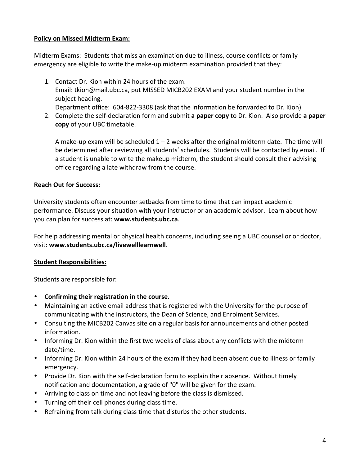### **Policy on Missed Midterm Exam:**

Midterm Exams: Students that miss an examination due to illness, course conflicts or family emergency are eligible to write the make-up midterm examination provided that they:

- 1. Contact Dr. Kion within 24 hours of the exam. Email: tkion@mail.ubc.ca, put MISSED MICB202 EXAM and your student number in the subject heading. Department office: 604-822-3308 (ask that the information be forwarded to Dr. Kion)
- 2. Complete the self-declaration form and submit a paper copy to Dr. Kion. Also provide a paper **copy** of your UBC timetable.

A make-up exam will be scheduled  $1 - 2$  weeks after the original midterm date. The time will be determined after reviewing all students' schedules. Students will be contacted by email. If a student is unable to write the makeup midterm, the student should consult their advising office regarding a late withdraw from the course.

## **Reach Out for Success:**

University students often encounter setbacks from time to time that can impact academic performance. Discuss your situation with your instructor or an academic advisor. Learn about how you can plan for success at: www.students.ubc.ca.

For help addressing mental or physical health concerns, including seeing a UBC counsellor or doctor, visit: www.students.ubc.ca/livewelllearnwell.

## **Student Responsibilities:**

Students are responsible for:

- **Confirming their registration in the course.**
- Maintaining an active email address that is registered with the University for the purpose of communicating with the instructors, the Dean of Science, and Enrolment Services.
- Consulting the MICB202 Canvas site on a regular basis for announcements and other posted information.
- Informing Dr. Kion within the first two weeks of class about any conflicts with the midterm date/time.
- Informing Dr. Kion within 24 hours of the exam if they had been absent due to illness or family emergency.
- Provide Dr. Kion with the self-declaration form to explain their absence. Without timely notification and documentation, a grade of "0" will be given for the exam.
- Arriving to class on time and not leaving before the class is dismissed.
- Turning off their cell phones during class time.
- Refraining from talk during class time that disturbs the other students.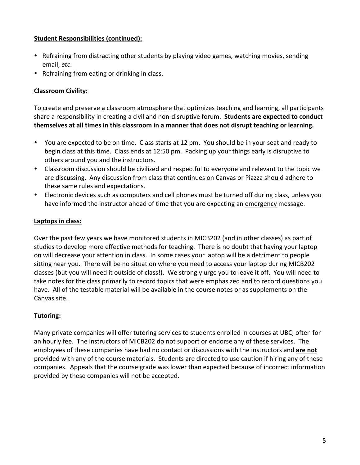### **Student Responsibilities (continued):**

- Refraining from distracting other students by playing video games, watching movies, sending email, etc.
- Refraining from eating or drinking in class.

## **Classroom Civility:**

To create and preserve a classroom atmosphere that optimizes teaching and learning, all participants share a responsibility in creating a civil and non-disruptive forum. Students are expected to conduct themselves at all times in this classroom in a manner that does not disrupt teaching or learning.

- You are expected to be on time. Class starts at 12 pm. You should be in your seat and ready to begin class at this time. Class ends at 12:50 pm. Packing up your things early is disruptive to others around you and the instructors.
- Classroom discussion should be civilized and respectful to everyone and relevant to the topic we are discussing. Any discussion from class that continues on Canvas or Piazza should adhere to these same rules and expectations.
- Electronic devices such as computers and cell phones must be turned off during class, unless you have informed the instructor ahead of time that you are expecting an emergency message.

## Laptops in class:

Over the past few years we have monitored students in MICB202 (and in other classes) as part of studies to develop more effective methods for teaching. There is no doubt that having your laptop on will decrease your attention in class. In some cases your laptop will be a detriment to people sitting near you. There will be no situation where you need to access your laptop during MICB202 classes (but you will need it outside of class!). We strongly urge you to leave it off. You will need to take notes for the class primarily to record topics that were emphasized and to record questions you have. All of the testable material will be available in the course notes or as supplements on the Canvas site.

### **Tutoring:**

Many private companies will offer tutoring services to students enrolled in courses at UBC, often for an hourly fee. The instructors of MICB202 do not support or endorse any of these services. The employees of these companies have had no contact or discussions with the instructors and **are not** provided with any of the course materials. Students are directed to use caution if hiring any of these companies. Appeals that the course grade was lower than expected because of incorrect information provided by these companies will not be accepted.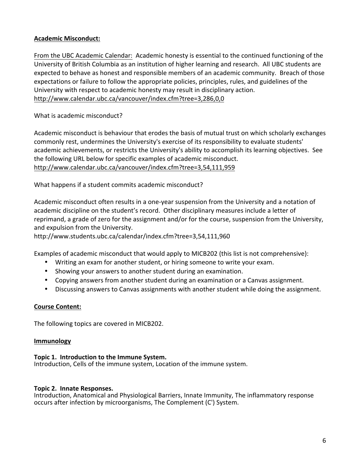### **Academic Misconduct:**

From the UBC Academic Calendar: Academic honesty is essential to the continued functioning of the University of British Columbia as an institution of higher learning and research. All UBC students are expected to behave as honest and responsible members of an academic community. Breach of those expectations or failure to follow the appropriate policies, principles, rules, and guidelines of the University with respect to academic honesty may result in disciplinary action. http://www.calendar.ubc.ca/vancouver/index.cfm?tree=3,286,0,0

What is academic misconduct?

Academic misconduct is behaviour that erodes the basis of mutual trust on which scholarly exchanges commonly rest, undermines the University's exercise of its responsibility to evaluate students' academic achievements, or restricts the University's ability to accomplish its learning objectives. See the following URL below for specific examples of academic misconduct. http://www.calendar.ubc.ca/vancouver/index.cfm?tree=3,54,111,959

What happens if a student commits academic misconduct?

Academic misconduct often results in a one-year suspension from the University and a notation of academic discipline on the student's record. Other disciplinary measures include a letter of reprimand, a grade of zero for the assignment and/or for the course, suspension from the University, and expulsion from the University.

http://www.students.ubc.ca/calendar/index.cfm?tree=3,54,111,960

Examples of academic misconduct that would apply to MICB202 (this list is not comprehensive):

- Writing an exam for another student, or hiring someone to write your exam.
- Showing your answers to another student during an examination.
- Copying answers from another student during an examination or a Canvas assignment.
- Discussing answers to Canvas assignments with another student while doing the assignment.

#### **Course Content:**

The following topics are covered in MICB202.

#### **Immunology**

#### Topic 1. Introduction to the Immune System.

Introduction, Cells of the immune system, Location of the immune system.

#### **Topic 2. Innate Responses.**

Introduction, Anatomical and Physiological Barriers, Innate Immunity, The inflammatory response occurs after infection by microorganisms, The Complement (C') System.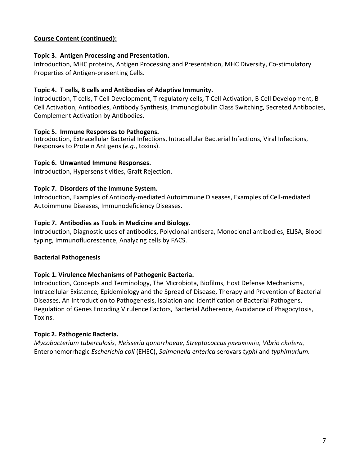### **Course Content (continued):**

### **Topic 3. Antigen Processing and Presentation.**

Introduction, MHC proteins, Antigen Processing and Presentation, MHC Diversity, Co-stimulatory Properties of Antigen-presenting Cells.

### Topic 4. T cells, B cells and Antibodies of Adaptive Immunity.

Introduction, T cells, T Cell Development, T regulatory cells, T Cell Activation, B Cell Development, B Cell Activation, Antibodies, Antibody Synthesis, Immunoglobulin Class Switching, Secreted Antibodies, Complement Activation by Antibodies.

### Topic 5. Immune Responses to Pathogens.

Introduction, Extracellular Bacterial Infections, Intracellular Bacterial Infections, Viral Infections, Responses to Protein Antigens (*e.g.*, toxins).

### **Topic 6. Unwanted Immune Responses.**

Introduction, Hypersensitivities, Graft Rejection.

### Topic 7. Disorders of the Immune System.

Introduction, Examples of Antibody-mediated Autoimmune Diseases, Examples of Cell-mediated Autoimmune Diseases, Immunodeficiency Diseases.

### Topic 7. Antibodies as Tools in Medicine and Biology.

Introduction, Diagnostic uses of antibodies, Polyclonal antisera, Monoclonal antibodies, ELISA, Blood typing, Immunofluorescence, Analyzing cells by FACS.

#### **Bacterial Pathogenesis**

### **Topic 1. Virulence Mechanisms of Pathogenic Bacteria.**

Introduction, Concepts and Terminology, The Microbiota, Biofilms, Host Defense Mechanisms, Intracellular Existence, Epidemiology and the Spread of Disease, Therapy and Prevention of Bacterial Diseases, An Introduction to Pathogenesis, Isolation and Identification of Bacterial Pathogens, Regulation of Genes Encoding Virulence Factors, Bacterial Adherence, Avoidance of Phagocytosis, Toxins.

### **Topic 2. Pathogenic Bacteria.**

*Mycobacterium tuberculosis, Neisseria gonorrhoeae, Streptococcus pneumonia, Vibrio cholera,*  Enterohemorrhagic *Escherichia coli* (EHEC), *Salmonella enterica* serovars typhi and typhimurium.